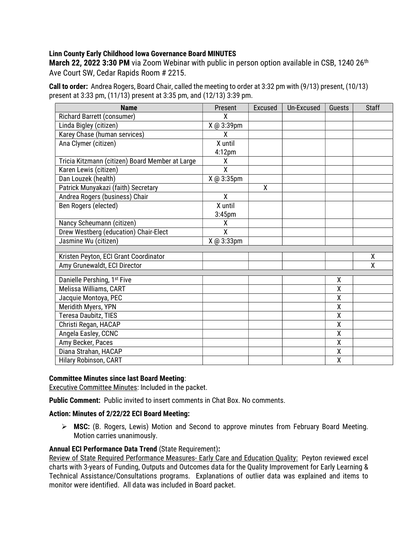# Linn County Early Childhood Iowa Governance Board MINUTES

March 22, 2022 3:30 PM via Zoom Webinar with public in person option available in CSB, 1240 26<sup>th</sup> Ave Court SW, Cedar Rapids Room # 2215.

Call to order: Andrea Rogers, Board Chair, called the meeting to order at 3:32 pm with (9/13) present, (10/13) present at 3:33 pm, (11/13) present at 3:35 pm, and (12/13) 3:39 pm.

| <b>Name</b>                                     | Present                 | <b>Excused</b> | Un-Excused | <b>Guests</b>           | <b>Staff</b> |
|-------------------------------------------------|-------------------------|----------------|------------|-------------------------|--------------|
| <b>Richard Barrett (consumer)</b>               | χ                       |                |            |                         |              |
| Linda Bigley (citizen)                          | X @ 3:39pm              |                |            |                         |              |
| Karey Chase (human services)                    | X                       |                |            |                         |              |
| Ana Clymer (citizen)                            | X until                 |                |            |                         |              |
|                                                 | 4:12pm                  |                |            |                         |              |
| Tricia Kitzmann (citizen) Board Member at Large | χ                       |                |            |                         |              |
| Karen Lewis (citizen)                           | $\overline{\mathsf{x}}$ |                |            |                         |              |
| Dan Louzek (health)                             | X @ 3:35pm              |                |            |                         |              |
| Patrick Munyakazi (faith) Secretary             |                         | X              |            |                         |              |
| Andrea Rogers (business) Chair                  | $\overline{X}$          |                |            |                         |              |
| Ben Rogers (elected)                            | X until                 |                |            |                         |              |
|                                                 | 3:45 <sub>pm</sub>      |                |            |                         |              |
| Nancy Scheumann (citizen)                       | χ                       |                |            |                         |              |
| Drew Westberg (education) Chair-Elect           | $\overline{X}$          |                |            |                         |              |
| Jasmine Wu (citizen)                            | X @ 3:33pm              |                |            |                         |              |
|                                                 |                         |                |            |                         |              |
| Kristen Peyton, ECI Grant Coordinator           |                         |                |            |                         | X            |
| Amy Grunewaldt, ECI Director                    |                         |                |            |                         | X            |
| Danielle Pershing, 1 <sup>st</sup> Five         |                         |                |            | X                       |              |
| Melissa Williams, CART                          |                         |                |            | X                       |              |
| Jacquie Montoya, PEC                            |                         |                |            | χ                       |              |
| Meridith Myers, YPN                             |                         |                |            | X                       |              |
| Teresa Daubitz, TIES                            |                         |                |            | $\overline{\mathsf{x}}$ |              |
| Christi Regan, HACAP                            |                         |                |            | χ                       |              |
| Angela Easley, CCNC                             |                         |                |            | χ                       |              |
| Amy Becker, Paces                               |                         |                |            | χ                       |              |
| Diana Strahan, HACAP                            |                         |                |            | χ                       |              |
| <b>Hilary Robinson, CART</b>                    |                         |                |            | χ                       |              |

### Committee Minutes since last Board Meeting:

Executive Committee Minutes: Included in the packet.

Public Comment: Public invited to insert comments in Chat Box. No comments.

# Action: Minutes of 2/22/22 ECI Board Meeting:

 MSC: (B. Rogers, Lewis) Motion and Second to approve minutes from February Board Meeting. Motion carries unanimously.

# Annual ECI Performance Data Trend (State Requirement):

Review of State Required Performance Measures- Early Care and Education Quality: Peyton reviewed excel charts with 3-years of Funding, Outputs and Outcomes data for the Quality Improvement for Early Learning & Technical Assistance/Consultations programs. Explanations of outlier data was explained and items to monitor were identified. All data was included in Board packet.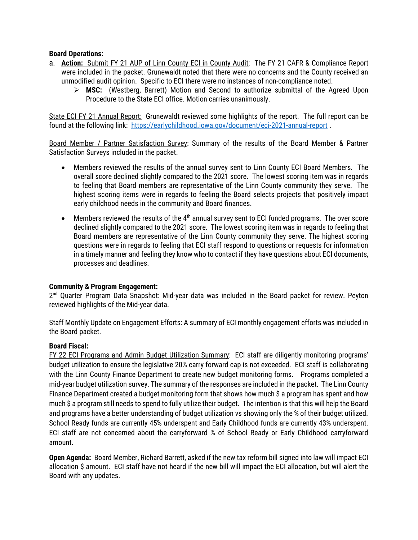# Board Operations:

- a. **Action:** Submit FY 21 AUP of Linn County ECI in County Audit: The FY 21 CAFR & Compliance Report were included in the packet. Grunewaldt noted that there were no concerns and the County received an unmodified audit opinion. Specific to ECI there were no instances of non-compliance noted.
	- ▶ MSC: (Westberg, Barrett) Motion and Second to authorize submittal of the Agreed Upon Procedure to the State ECI office. Motion carries unanimously.

State ECI FY 21 Annual Report: Grunewaldt reviewed some highlights of the report. The full report can be found at the following link: https://earlychildhood.iowa.gov/document/eci-2021-annual-report .

Board Member / Partner Satisfaction Survey: Summary of the results of the Board Member & Partner Satisfaction Surveys included in the packet.

- Members reviewed the results of the annual survey sent to Linn County ECI Board Members. The overall score declined slightly compared to the 2021 score. The lowest scoring item was in regards to feeling that Board members are representative of the Linn County community they serve. The highest scoring items were in regards to feeling the Board selects projects that positively impact early childhood needs in the community and Board finances.
- $\bullet$  Members reviewed the results of the 4<sup>th</sup> annual survey sent to ECI funded programs. The over score declined slightly compared to the 2021 score. The lowest scoring item was in regards to feeling that Board members are representative of the Linn County community they serve. The highest scoring questions were in regards to feeling that ECI staff respond to questions or requests for information in a timely manner and feeling they know who to contact if they have questions about ECI documents, processes and deadlines.

### Community & Program Engagement:

2<sup>nd</sup> Quarter Program Data Snapshot: Mid-year data was included in the Board packet for review. Peyton reviewed highlights of the Mid-year data.

Staff Monthly Update on Engagement Efforts: A summary of ECI monthly engagement efforts was included in the Board packet.

### Board Fiscal:

FY 22 ECI Programs and Admin Budget Utilization Summary: ECI staff are diligently monitoring programs' budget utilization to ensure the legislative 20% carry forward cap is not exceeded. ECI staff is collaborating with the Linn County Finance Department to create new budget monitoring forms. Programs completed a mid-year budget utilization survey. The summary of the responses are included in the packet. The Linn County Finance Department created a budget monitoring form that shows how much \$ a program has spent and how much \$ a program still needs to spend to fully utilize their budget. The intention is that this will help the Board and programs have a better understanding of budget utilization vs showing only the % of their budget utilized. School Ready funds are currently 45% underspent and Early Childhood funds are currently 43% underspent. ECI staff are not concerned about the carryforward % of School Ready or Early Childhood carryforward amount.

Open Agenda: Board Member, Richard Barrett, asked if the new tax reform bill signed into law will impact ECI allocation \$ amount. ECI staff have not heard if the new bill will impact the ECI allocation, but will alert the Board with any updates.